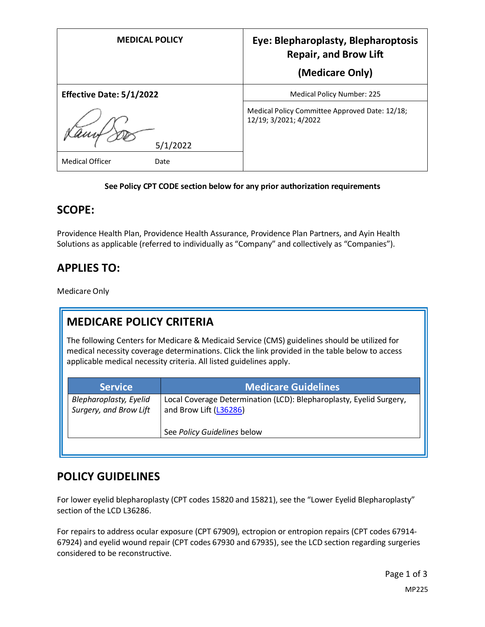| <b>MEDICAL POLICY</b>          | Eye: Blepharoplasty, Blepharoptosis<br><b>Repair, and Brow Lift</b><br>(Medicare Only) |
|--------------------------------|----------------------------------------------------------------------------------------|
| Effective Date: 5/1/2022       | Medical Policy Number: 225                                                             |
| 5/1/2022                       | Medical Policy Committee Approved Date: 12/18;<br>12/19; 3/2021; 4/2022                |
| <b>Medical Officer</b><br>Date |                                                                                        |

#### **See Policy CPT CODE section below for any prior authorization requirements**

### **SCOPE:**

Providence Health Plan, Providence Health Assurance, Providence Plan Partners, and Ayin Health Solutions as applicable (referred to individually as "Company" and collectively as "Companies").

## **APPLIES TO:**

Medicare Only

# **MEDICARE POLICY CRITERIA**

The following Centers for Medicare & Medicaid Service (CMS) guidelines should be utilized for medical necessity coverage determinations. Click the link provided in the table below to access applicable medical necessity criteria. All listed guidelines apply.

| <b>Service</b>                                          | <b>Medicare Guidelines</b>                                                                    |
|---------------------------------------------------------|-----------------------------------------------------------------------------------------------|
| <b>Blepharoplasty, Eyelid</b><br>Surgery, and Brow Lift | Local Coverage Determination (LCD): Blepharoplasty, Eyelid Surgery,<br>and Brow Lift (L36286) |
|                                                         | See Policy Guidelines below                                                                   |

### **POLICY GUIDELINES**

For lower eyelid blepharoplasty (CPT codes 15820 and 15821), see the "Lower Eyelid Blepharoplasty" section of the LCD L36286.

For repairs to address ocular exposure (CPT 67909), ectropion or entropion repairs (CPT codes 67914- 67924) and eyelid wound repair (CPT codes 67930 and 67935), see the LCD section regarding surgeries considered to be reconstructive.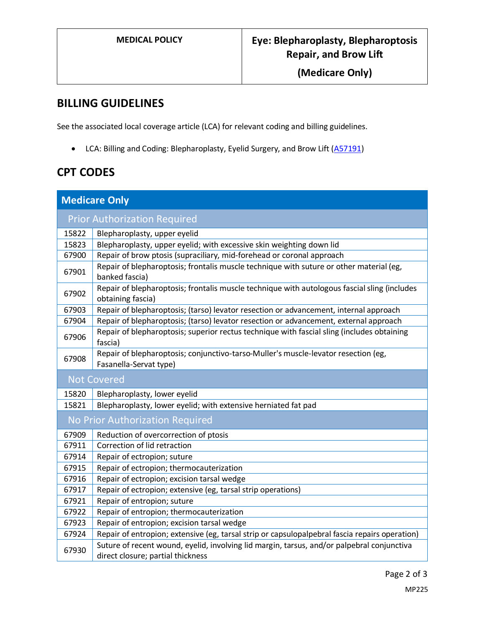**(Medicare Only)**

## **BILLING GUIDELINES**

See the associated local coverage article (LCA) for relevant coding and billing guidelines.

• LCA: Billing and Coding: Blepharoplasty, Eyelid Surgery, and Brow Lift [\(A57191\)](https://www.cms.gov/medicare-coverage-database/details/article-details.aspx?articleId=57191)

# **CPT CODES**

| <b>Medicare Only</b>                |                                                                                                                                 |  |
|-------------------------------------|---------------------------------------------------------------------------------------------------------------------------------|--|
| <b>Prior Authorization Required</b> |                                                                                                                                 |  |
| 15822                               | Blepharoplasty, upper eyelid                                                                                                    |  |
| 15823                               | Blepharoplasty, upper eyelid; with excessive skin weighting down lid                                                            |  |
| 67900                               | Repair of brow ptosis (supraciliary, mid-forehead or coronal approach                                                           |  |
| 67901                               | Repair of blepharoptosis; frontalis muscle technique with suture or other material (eg,<br>banked fascia)                       |  |
| 67902                               | Repair of blepharoptosis; frontalis muscle technique with autologous fascial sling (includes<br>obtaining fascia)               |  |
| 67903                               | Repair of blepharoptosis; (tarso) levator resection or advancement, internal approach                                           |  |
| 67904                               | Repair of blepharoptosis; (tarso) levator resection or advancement, external approach                                           |  |
| 67906                               | Repair of blepharoptosis; superior rectus technique with fascial sling (includes obtaining<br>fascia)                           |  |
| 67908                               | Repair of blepharoptosis; conjunctivo-tarso-Muller's muscle-levator resection (eg,<br>Fasanella-Servat type)                    |  |
| <b>Not Covered</b>                  |                                                                                                                                 |  |
| 15820                               | Blepharoplasty, lower eyelid                                                                                                    |  |
| 15821                               | Blepharoplasty, lower eyelid; with extensive herniated fat pad                                                                  |  |
| No Prior Authorization Required     |                                                                                                                                 |  |
| 67909                               | Reduction of overcorrection of ptosis                                                                                           |  |
| 67911                               | Correction of lid retraction                                                                                                    |  |
| 67914                               | Repair of ectropion; suture                                                                                                     |  |
| 67915                               | Repair of ectropion; thermocauterization                                                                                        |  |
| 67916                               | Repair of ectropion; excision tarsal wedge                                                                                      |  |
| 67917                               | Repair of ectropion; extensive (eg, tarsal strip operations)                                                                    |  |
| 67921                               | Repair of entropion; suture                                                                                                     |  |
| 67922                               | Repair of entropion; thermocauterization                                                                                        |  |
| 67923                               | Repair of entropion; excision tarsal wedge                                                                                      |  |
| 67924                               | Repair of entropion; extensive (eg, tarsal strip or capsulopalpebral fascia repairs operation)                                  |  |
| 67930                               | Suture of recent wound, eyelid, involving lid margin, tarsus, and/or palpebral conjunctiva<br>direct closure; partial thickness |  |